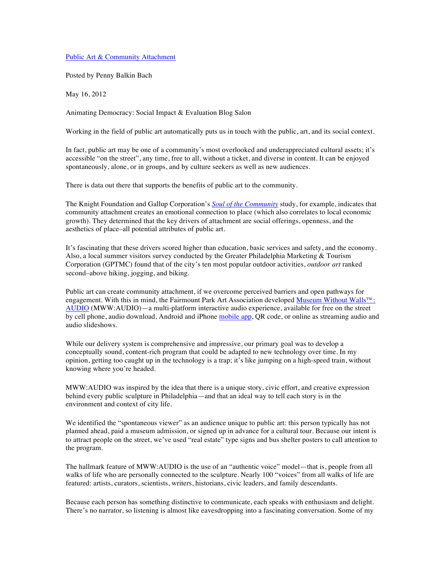Public Art & Community Attachment

Posted by Penny Balkin Bach

May 16, 2012

Animating Democracy: Social Impact & Evaluation Blog Salon

Working in the field of public art automatically puts us in touch with the public, art, and its social context.

In fact, public art may be one of a community's most overlooked and underappreciated cultural assets; it's accessible "on the street", any time, free to all, without a ticket, and diverse in content. It can be enjoyed spontaneously, alone, or in groups, and by culture seekers as well as new audiences.

There is data out there that supports the benefits of public art to the community.

The Knight Foundation and Gallup Corporation's *Soul of the Community* study, for example, indicates that community attachment creates an emotional connection to place (which also correlates to local economic growth). They determined that the key drivers of attachment are social offerings, openness, and the aesthetics of place–all potential attributes of public art.

It's fascinating that these drivers scored higher than education, basic services and safety, and the economy. Also, a local summer visitors survey conducted by the Greater Philadelphia Marketing & Tourism Corporation (GPTMC) found that of the city's ten most popular outdoor activities, *outdoor art* ranked second–above hiking, jogging, and biking.

Public art can create community attachment, if we overcome perceived barriers and open pathways for engagement. With this in mind, the Fairmount Park Art Association developed Museum Without Walls™: AUDIO (MWW:AUDIO)—a multi-platform interactive audio experience, available for free on the street by cell phone, audio download, Android and iPhone mobile app, QR code, or online as streaming audio and audio slideshows.

While our delivery system is comprehensive and impressive, our primary goal was to develop a conceptually sound, content-rich program that could be adapted to new technology over time. In my opinion, getting too caught up in the technology is a trap; it's like jumping on a high-speed train, without knowing where you're headed.

MWW:AUDIO was inspired by the idea that there is a unique story, civic effort, and creative expression behind every public sculpture in Philadelphia—and that an ideal way to tell each story is in the environment and context of city life.

We identified the "spontaneous viewer" as an audience unique to public art: this person typically has not planned ahead, paid a museum admission, or signed up in advance for a cultural tour. Because our intent is to attract people on the street, we've used "real estate" type signs and bus shelter posters to call attention to the program.

The hallmark feature of MWW:AUDIO is the use of an "authentic voice" model—that is, people from all walks of life who are personally connected to the sculpture. Nearly 100 "voices" from all walks of life are featured: artists, curators, scientists, writers, historians, civic leaders, and family descendants.

Because each person has something distinctive to communicate, each speaks with enthusiasm and delight. There's no narrator, so listening is almost like eavesdropping into a fascinating conversation. Some of my